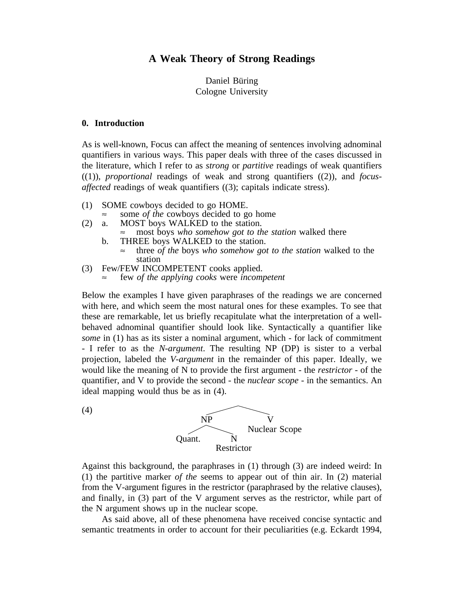# **A Weak Theory of Strong Readings**

## Daniel Büring Cologne University

#### **0. Introduction**

(4)

As is well-known, Focus can affect the meaning of sentences involving adnominal quantifiers in various ways. This paper deals with three of the cases discussed in the literature, which I refer to as *strong* or *partitive* readings of weak quantifiers  $((1))$ , *proportional* readings of weak and strong quantifiers  $((2))$ , and *focusaffected* readings of weak quantifiers ((3); capitals indicate stress).

- (1) SOME cowboys decided to go HOME.<br> $\approx$  some *of the* cowboys decided to go home
	-
- (2) a. MOST boys WALKED to the station.
	- most boys *who somehow got to the station* walked there
	- b. THREE boys WALKED to the station. ≈ three *of the* boys *who somehow got to the station* walked to the station
- (3) Few/FEW INCOMPETENT cooks applied.
	- few *of the applying cooks* were *incompetent*

Below the examples I have given paraphrases of the readings we are concerned with here, and which seem the most natural ones for these examples. To see that these are remarkable, let us briefly recapitulate what the interpretation of a wellbehaved adnominal quantifier should look like. Syntactically a quantifier like *some* in (1) has as its sister a nominal argument, which - for lack of commitment - I refer to as the *N-argument*. The resulting NP (DP) is sister to a verbal projection, labeled the *V-argument* in the remainder of this paper. Ideally, we would like the meaning of N to provide the first argument - the *restrictor* - of the quantifier, and V to provide the second - the *nuclear scope* - in the semantics. An ideal mapping would thus be as in (4).



Against this background, the paraphrases in (1) through (3) are indeed weird: In (1) the partitive marker *of the* seems to appear out of thin air. In (2) material from the V-argument figures in the restrictor (paraphrased by the relative clauses), and finally, in (3) part of the V argument serves as the restrictor, while part of the N argument shows up in the nuclear scope.

As said above, all of these phenomena have received concise syntactic and semantic treatments in order to account for their peculiarities (e.g. Eckardt 1994,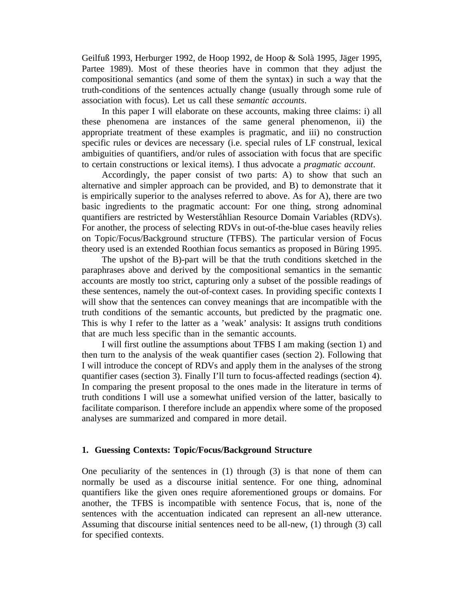Geilfuß 1993, Herburger 1992, de Hoop 1992, de Hoop & Solà 1995, Jäger 1995, Partee 1989). Most of these theories have in common that they adjust the compositional semantics (and some of them the syntax) in such a way that the truth-conditions of the sentences actually change (usually through some rule of association with focus). Let us call these *semantic accounts*.

In this paper I will elaborate on these accounts, making three claims: i) all these phenomena are instances of the same general phenomenon, ii) the appropriate treatment of these examples is pragmatic, and iii) no construction specific rules or devices are necessary (i.e. special rules of LF construal, lexical ambiguities of quantifiers, and/or rules of association with focus that are specific to certain constructions or lexical items). I thus advocate a *pragmatic account*.

Accordingly, the paper consist of two parts: A) to show that such an alternative and simpler approach can be provided, and B) to demonstrate that it is empirically superior to the analyses referred to above. As for A), there are two basic ingredients to the pragmatic account: For one thing, strong adnominal quantifiers are restricted by Westerståhlian Resource Domain Variables (RDVs). For another, the process of selecting RDVs in out-of-the-blue cases heavily relies on Topic/Focus/Background structure (TFBS). The particular version of Focus theory used is an extended Roothian focus semantics as proposed in Büring 1995.

The upshot of the B)-part will be that the truth conditions sketched in the paraphrases above and derived by the compositional semantics in the semantic accounts are mostly too strict, capturing only a subset of the possible readings of these sentences, namely the out-of-context cases. In providing specific contexts I will show that the sentences can convey meanings that are incompatible with the truth conditions of the semantic accounts, but predicted by the pragmatic one. This is why I refer to the latter as a 'weak' analysis: It assigns truth conditions that are much less specific than in the semantic accounts.

I will first outline the assumptions about TFBS I am making (section 1) and then turn to the analysis of the weak quantifier cases (section 2). Following that I will introduce the concept of RDVs and apply them in the analyses of the strong quantifier cases (section 3). Finally I'll turn to focus-affected readings (section 4). In comparing the present proposal to the ones made in the literature in terms of truth conditions I will use a somewhat unified version of the latter, basically to facilitate comparison. I therefore include an appendix where some of the proposed analyses are summarized and compared in more detail.

### **1. Guessing Contexts: Topic/Focus/Background Structure**

One peculiarity of the sentences in  $(1)$  through  $(3)$  is that none of them can normally be used as a discourse initial sentence. For one thing, adnominal quantifiers like the given ones require aforementioned groups or domains. For another, the TFBS is incompatible with sentence Focus, that is, none of the sentences with the accentuation indicated can represent an all-new utterance. Assuming that discourse initial sentences need to be all-new, (1) through (3) call for specified contexts.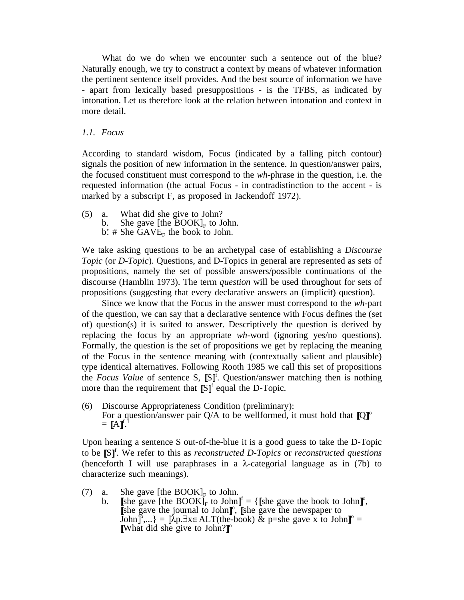What do we do when we encounter such a sentence out of the blue? Naturally enough, we try to construct a context by means of whatever information the pertinent sentence itself provides. And the best source of information we have - apart from lexically based presuppositions - is the TFBS, as indicated by intonation. Let us therefore look at the relation between intonation and context in more detail.

#### *1.1. Focus*

According to standard wisdom, Focus (indicated by a falling pitch contour) signals the position of new information in the sentence. In question/answer pairs, the focused constituent must correspond to the *wh*-phrase in the question, i.e. the requested information (the actual Focus - in contradistinction to the accent - is marked by a subscript F, as proposed in Jackendoff 1972).

(5) a. What did she give to John? b. She gave [the  $\text{BOOK}]_F$  to John. b.'  $\#$  She GAVE<sub>F</sub> the book to John.

We take asking questions to be an archetypal case of establishing a *Discourse Topic* (or *D-Topic*). Questions, and D-Topics in general are represented as sets of propositions, namely the set of possible answers/possible continuations of the discourse (Hamblin 1973). The term *question* will be used throughout for sets of propositions (suggesting that every declarative answers an (implicit) question).

Since we know that the Focus in the answer must correspond to the *wh*-part of the question, we can say that a declarative sentence with Focus defines the (set of) question(s) it is suited to answer. Descriptively the question is derived by replacing the focus by an appropriate *wh*-word (ignoring yes/no questions). Formally, the question is the set of propositions we get by replacing the meaning of the Focus in the sentence meaning with (contextually salient and plausible) type identical alternatives. Following Rooth 1985 we call this set of propositions the *Focus Value* of sentence S, [S]<sup>f</sup>. Question/answer matching then is nothing more than the requirement that  $\mathbb{S}^{\uparrow}$  equal the D-Topic.

(6) Discourse Appropriateness Condition (preliminary): For a question/answer pair Q/A to be wellformed, it must hold that  $[Q]^\circ$  $=$   $[A]^{f.1}$ 

Upon hearing a sentence S out-of-the-blue it is a good guess to take the D-Topic to be [S]<sup>f</sup>. We refer to this as *reconstructed D-Topics* or *reconstructed questions* (henceforth I will use paraphrases in a  $\lambda$ -categorial language as in (7b) to characterize such meanings).

- (7) a. She gave [the BOOK]<sub>F</sub> to John.<br>b. She gave [the BOOK]<sub>F</sub> to John]
	- b. [she gave [the BOOK]<sub>F</sub> to John]<sup> $f$ </sup> = {[she gave the book to John]<sup>o</sup>, [she gave the journal to John]<sup>o</sup>, [she gave the newspaper to [she gave the journal to John]<sup> $\circ$ </sup>, [she gave the newspaper to  $\text{John}^{\infty}_{\text{I}},...$ } =  $\llbracket \text{Ap}.\exists x \in \text{ALT}(\text{the-book}) \& \text{p=she gave } x \text{ to John} \rrbracket^{\circ} = \llbracket \text{What did she give to John} \rrbracket^{\circ}$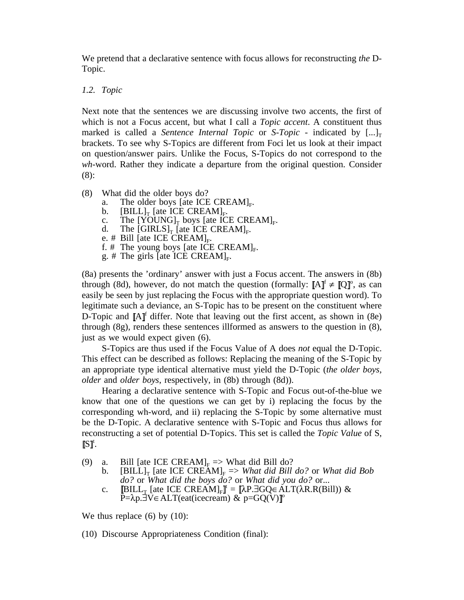We pretend that a declarative sentence with focus allows for reconstructing *the* D-Topic.

## *1.2. Topic*

Next note that the sentences we are discussing involve two accents, the first of which is not a Focus accent, but what I call a *Topic accent*. A constituent thus marked is called a *Sentence Internal Topic* or *S-Topic* - indicated by  $[\ldots]_T$ brackets. To see why S-Topics are different from Foci let us look at their impact on question/answer pairs. Unlike the Focus, S-Topics do not correspond to the *wh*-word. Rather they indicate a departure from the original question. Consider (8):

- (8) What did the older boys do?
	-
	-
	- a. The older boys [ate ICE CREAM]<sub>F</sub>.<br>b. [BILL]<sub>T</sub> [ate ICE CREAM]<sub>F</sub>.<br>c. The [YOUNG]<sub>T</sub> boys [ate ICE CREAM]<sub>F</sub>.<br>d. The [GIRLS]<sub>T</sub> [ate ICE CREAM]<sub>F</sub>.<br>e. # Bill [ate ICE CREAM]<sub>F</sub>.<br>f. # The young boys [ate ICE CREAM]<sub>F</sub>.
	-
	-
	-
	-

(8a) presents the 'ordinary' answer with just a Focus accent. The answers in (8b) through (8d), however, do not match the question (formally:  $[A]^{f} \neq [Q]^{o}$ , as can easily be seen by just replacing the Focus with the appropriate question word). To legitimate such a deviance, an S-Topic has to be present on the constituent where D-Topic and  $[A]^{f}$  differ. Note that leaving out the first accent, as shown in (8e) through (8g), renders these sentences illformed as answers to the question in (8), just as we would expect given  $(6)$ .

S-Topics are thus used if the Focus Value of A does *not* equal the D-Topic. This effect can be described as follows: Replacing the meaning of the S-Topic by an appropriate type identical alternative must yield the D-Topic (*the older boys, older* and *older boys*, respectively, in (8b) through (8d)).

Hearing a declarative sentence with S-Topic and Focus out-of-the-blue we know that one of the questions we can get by i) replacing the focus by the corresponding wh-word, and ii) replacing the S-Topic by some alternative must be the D-Topic. A declarative sentence with S-Topic and Focus thus allows for reconstructing a set of potential D-Topics. This set is called the *Topic Value* of S,  $S$ ]<sup>t</sup>.

(9) a. Bill [ate ICE CREAM]<sub>F</sub> => What did Bill do?<br>b. [BILL]<sub>T</sub> [ate ICE CREAM]<sub>F</sub> => What did Bill

- $[BILL]_T$  [ate ICE CREAM]<sub>F</sub> => *What did Bill do?* or *What did Bob do?* or *What did the boys do?* or *What did you do?* or...
- c. [BILL<sub>T</sub> [ate ICE CREAM]<sub>F</sub>]<sup>t</sup> = [λP.∃GQ∈ ALT(λR.R(Bill)) & P= $\lambda p.\exists V \in ALT$ (eat(icecream) & p=GQ(V)]<sup>o</sup>

We thus replace  $(6)$  by  $(10)$ :

(10) Discourse Appropriateness Condition (final):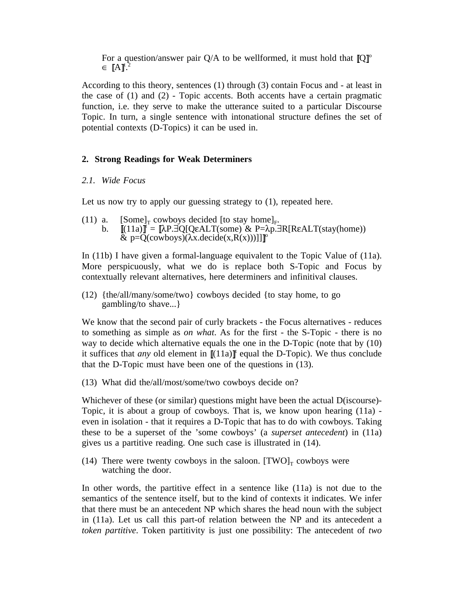For a question/answer pair  $Q/A$  to be wellformed, it must hold that  $[Q]^\circ$  $\in$   $[A]^{t.2}$ 

According to this theory, sentences (1) through (3) contain Focus and - at least in the case of (1) and (2) - Topic accents. Both accents have a certain pragmatic function, i.e. they serve to make the utterance suited to a particular Discourse Topic. In turn, a single sentence with intonational structure defines the set of potential contexts (D-Topics) it can be used in.

## **2. Strong Readings for Weak Determiners**

#### *2.1. Wide Focus*

Let us now try to apply our guessing strategy to  $(1)$ , repeated here.

- (11) a.  $[Some]_T$  cowboys decided [to stay home]<sub>F</sub>.<br>b.  $[(11a)]^t = [\lambda P \cdot \exists Q[Q\in ALT(some) \& P=\lambda p \cdot \exists R[R\in ALT(stay(home)))$ 
	- $\&$  p=Q(cowboys)( $\lambda x$ .decide( $x$ , $R(x)$ ))]]]<sup>o</sup>

In (11b) I have given a formal-language equivalent to the Topic Value of (11a). More perspicuously, what we do is replace both S-Topic and Focus by contextually relevant alternatives, here determiners and infinitival clauses.

(12) {the/all/many/some/two} cowboys decided {to stay home, to go gambling/to shave...}

We know that the second pair of curly brackets - the Focus alternatives - reduces to something as simple as *on what*. As for the first - the S-Topic - there is no way to decide which alternative equals the one in the D-Topic (note that by (10) it suffices that *any* old element in  $[(11a)]^t$  equal the D-Topic). We thus conclude that the D-Topic must have been one of the questions in (13).

(13) What did the/all/most/some/two cowboys decide on?

Whichever of these (or similar) questions might have been the actual D(iscourse)- Topic, it is about a group of cowboys. That is, we know upon hearing (11a) even in isolation - that it requires a D-Topic that has to do with cowboys. Taking these to be a superset of the 'some cowboys' (a *superset antecedent*) in (11a) gives us a partitive reading. One such case is illustrated in (14).

(14) There were twenty cowboys in the saloon.  $[TWO]_T$  cowboys were watching the door.

In other words, the partitive effect in a sentence like (11a) is not due to the semantics of the sentence itself, but to the kind of contexts it indicates. We infer that there must be an antecedent NP which shares the head noun with the subject in (11a). Let us call this part-of relation between the NP and its antecedent a *token partitive*. Token partitivity is just one possibility: The antecedent of *two*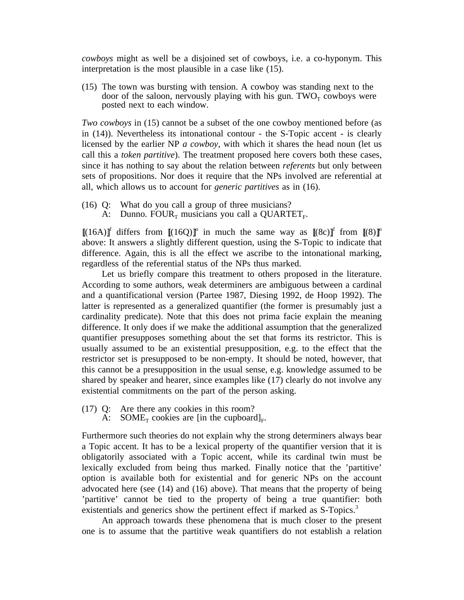*cowboys* might as well be a disjoined set of cowboys, i.e. a co-hyponym. This interpretation is the most plausible in a case like (15).

(15) The town was bursting with tension. A cowboy was standing next to the door of the saloon, nervously playing with his gun.  $TWO<sub>T</sub>$  cowboys were posted next to each window.

*Two cowboys* in (15) cannot be a subset of the one cowboy mentioned before (as in (14)). Nevertheless its intonational contour - the S-Topic accent - is clearly licensed by the earlier NP *a cowboy*, with which it shares the head noun (let us call this a *token partitive*). The treatment proposed here covers both these cases, since it has nothing to say about the relation between *referents* but only between sets of propositions. Nor does it require that the NPs involved are referential at all, which allows us to account for *generic partitives* as in (16).

- (16) Q: What do you call a group of three musicians?
	- A: Dunno. FOUR<sub>T</sub> musicians you call a QUARTET<sub>F</sub>.

 $[(16A)]^f$  differs from  $[(16Q)]^o$  in much the same way as  $[(8c)]^f$  from  $[(8)]^o$ above: It answers a slightly different question, using the S-Topic to indicate that difference. Again, this is all the effect we ascribe to the intonational marking, regardless of the referential status of the NPs thus marked.

Let us briefly compare this treatment to others proposed in the literature. According to some authors, weak determiners are ambiguous between a cardinal and a quantificational version (Partee 1987, Diesing 1992, de Hoop 1992). The latter is represented as a generalized quantifier (the former is presumably just a cardinality predicate). Note that this does not prima facie explain the meaning difference. It only does if we make the additional assumption that the generalized quantifier presupposes something about the set that forms its restrictor. This is usually assumed to be an existential presupposition, e.g. to the effect that the restrictor set is presupposed to be non-empty. It should be noted, however, that this cannot be a presupposition in the usual sense, e.g. knowledge assumed to be shared by speaker and hearer, since examples like (17) clearly do not involve any existential commitments on the part of the person asking.

- (17) Q: Are there any cookies in this room?
	- A: SOME<sub>T</sub> cookies are [in the cupboard]<sub>F</sub>.

Furthermore such theories do not explain why the strong determiners always bear a Topic accent. It has to be a lexical property of the quantifier version that it is obligatorily associated with a Topic accent, while its cardinal twin must be lexically excluded from being thus marked. Finally notice that the 'partitive' option is available both for existential and for generic NPs on the account advocated here (see (14) and (16) above). That means that the property of being 'partitive' cannot be tied to the property of being a true quantifier: both existentials and generics show the pertinent effect if marked as S-Topics.<sup>3</sup>

An approach towards these phenomena that is much closer to the present one is to assume that the partitive weak quantifiers do not establish a relation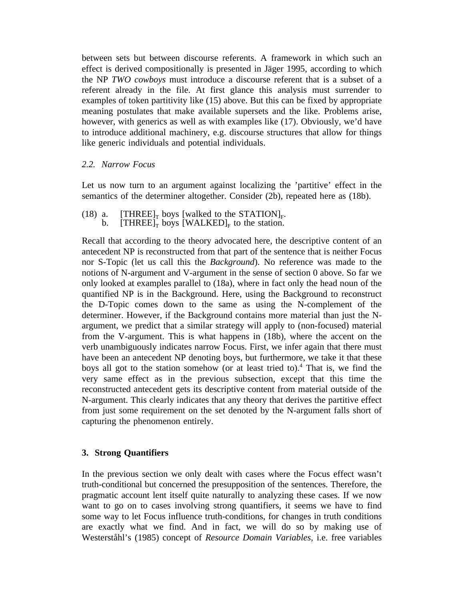between sets but between discourse referents. A framework in which such an effect is derived compositionally is presented in Jäger 1995, according to which the NP *TWO cowboys* must introduce a discourse referent that is a subset of a referent already in the file. At first glance this analysis must surrender to examples of token partitivity like (15) above. But this can be fixed by appropriate meaning postulates that make available supersets and the like. Problems arise, however, with generics as well as with examples like (17). Obviously, we'd have to introduce additional machinery, e.g. discourse structures that allow for things like generic individuals and potential individuals.

## *2.2. Narrow Focus*

Let us now turn to an argument against localizing the 'partitive' effect in the semantics of the determiner altogether. Consider (2b), repeated here as (18b).

(18) a.  $[THREE]_T$  boys [walked to the STATION]<sub>F</sub>.<br>b.  $[THREE]_T$  boys  $[WALKED]_F$  to the station.

Recall that according to the theory advocated here, the descriptive content of an antecedent NP is reconstructed from that part of the sentence that is neither Focus nor S-Topic (let us call this the *Background*). No reference was made to the notions of N-argument and V-argument in the sense of section 0 above. So far we only looked at examples parallel to (18a), where in fact only the head noun of the quantified NP is in the Background. Here, using the Background to reconstruct the D-Topic comes down to the same as using the N-complement of the determiner. However, if the Background contains more material than just the Nargument, we predict that a similar strategy will apply to (non-focused) material from the V-argument. This is what happens in (18b), where the accent on the verb unambiguously indicates narrow Focus. First, we infer again that there must have been an antecedent NP denoting boys, but furthermore, we take it that these boys all got to the station somehow (or at least tried to).4 That is, we find the very same effect as in the previous subsection, except that this time the reconstructed antecedent gets its descriptive content from material outside of the N-argument. This clearly indicates that any theory that derives the partitive effect from just some requirement on the set denoted by the N-argument falls short of capturing the phenomenon entirely.

## **3. Strong Quantifiers**

In the previous section we only dealt with cases where the Focus effect wasn't truth-conditional but concerned the presupposition of the sentences. Therefore, the pragmatic account lent itself quite naturally to analyzing these cases. If we now want to go on to cases involving strong quantifiers, it seems we have to find some way to let Focus influence truth-conditions, for changes in truth conditions are exactly what we find. And in fact, we will do so by making use of Westerståhl's (1985) concept of *Resource Domain Variables*, i.e. free variables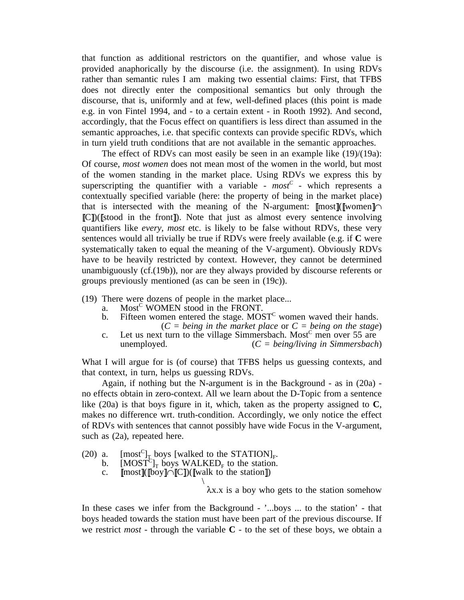that function as additional restrictors on the quantifier, and whose value is provided anaphorically by the discourse (i.e. the assignment). In using RDVs rather than semantic rules I am making two essential claims: First, that TFBS does not directly enter the compositional semantics but only through the discourse, that is, uniformly and at few, well-defined places (this point is made e.g. in von Fintel 1994, and - to a certain extent - in Rooth 1992). And second, accordingly, that the Focus effect on quantifiers is less direct than assumed in the semantic approaches, i.e. that specific contexts can provide specific RDVs, which in turn yield truth conditions that are not available in the semantic approaches.

The effect of RDVs can most easily be seen in an example like (19)/(19a): Of course, *most women* does not mean most of the women in the world, but most of the women standing in the market place. Using RDVs we express this by superscripting the quantifier with a variable -  $most^c$  - which represents a contextually specified variable (here: the property of being in the market place) that is intersected with the meaning of the N-argument:  $\lceil \text{most} \rceil \lceil \text{women} \rceil \cap$  $\mathbb{IC}$ ))( $\mathbb{I}$ stood in the front $\mathbb{I}$ ). Note that just as almost every sentence involving quantifiers like *every, most* etc. is likely to be false without RDVs, these very sentences would all trivially be true if RDVs were freely available (e.g. if **C** were systematically taken to equal the meaning of the V-argument). Obviously RDVs have to be heavily restricted by context. However, they cannot be determined unambiguously (cf.(19b)), nor are they always provided by discourse referents or groups previously mentioned (as can be seen in (19c)).

- (19) There were dozens of people in the market place...
	- a. Most<sup>C</sup> WOMEN stood in the FRONT.
	- b. Fifteen women entered the stage.  $MOST<sup>C</sup>$  women waved their hands. (*C = being in the market place* or *C = being on the stage*)
	- c. Let us next turn to the village Simmersbach. Most<sup>c</sup> men over 55 are unemployed. (*C = being/living in Simmersbach*)

What I will argue for is (of course) that TFBS helps us guessing contexts, and that context, in turn, helps us guessing RDVs.

Again, if nothing but the N-argument is in the Background - as in (20a) no effects obtain in zero-context. All we learn about the D-Topic from a sentence like (20a) is that boys figure in it, which, taken as the property assigned to **C**, makes no difference wrt. truth-condition. Accordingly, we only notice the effect of RDVs with sentences that cannot possibly have wide Focus in the V-argument, such as (2a), repeated here.

- (20) a.  $[\text{most}^C]_T$  boys [walked to the STATION]<sub>F</sub>.<br>b.  $[\text{MOST}^C]_T$  boys WALKED<sub>F</sub> to the station.
	-
	- c.  $[\text{most}](\text{[boy]}\cap[\text{[C]})(\text{[walk to the station]})$ \

λx.x is a boy who gets to the station somehow

In these cases we infer from the Background - '...boys ... to the station' - that boys headed towards the station must have been part of the previous discourse. If we restrict *most* - through the variable  $C$  - to the set of these boys, we obtain a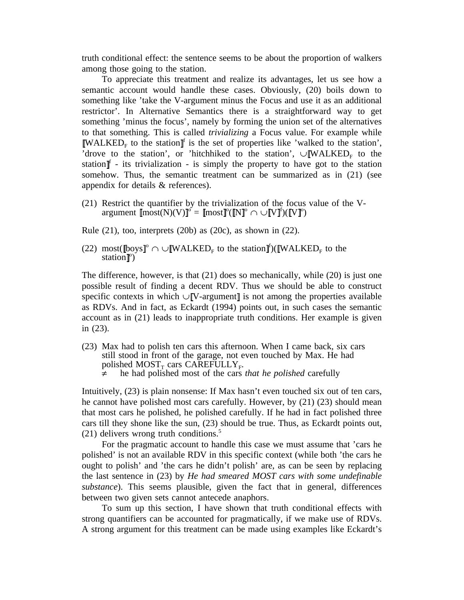truth conditional effect: the sentence seems to be about the proportion of walkers among those going to the station.

To appreciate this treatment and realize its advantages, let us see how a semantic account would handle these cases. Obviously, (20) boils down to something like 'take the V-argument minus the Focus and use it as an additional restrictor'. In Alternative Semantics there is a straightforward way to get something 'minus the focus', namely by forming the union set of the alternatives to that something. This is called *trivializing* a Focus value. For example while  $\mathbb{N}$ MALKED<sub>F</sub> to the station  $\mathbb{I}^{\dagger}$  is the set of properties like 'walked to the station', 'drove to the station', or 'hitchhiked to the station',  $\cup$  WALKED<sub>F</sub> to the station  $\mathbb{I}$  - its trivialization - is simply the property to have got to the station somehow. Thus, the semantic treatment can be summarized as in  $(21)$  (see appendix for details & references).

(21) Restrict the quantifier by the trivialization of the focus value of the Vargument  $\llbracket \text{most}(N)(V) \rrbracket^{\circ} = \llbracket \text{most} \rrbracket^{\circ} (\llbracket N \rrbracket^{\circ} \cap \cup \llbracket V \rrbracket^{\circ} ) (\llbracket V \rrbracket^{\circ} )$ 

Rule  $(21)$ , too, interprets  $(20b)$  as  $(20c)$ , as shown in  $(22)$ .

(22) most( $[\text{box}^{\degree}]^{\circ} \cap \cup [\text{WALKED}_{F} \text{ to the station}]^{\circ}$ )( $[\text{WALKED}_{F} \text{ to the$ station<sup> $\mathbb{I}^{\circ}$ </sup>

The difference, however, is that  $(21)$  does so mechanically, while  $(20)$  is just one possible result of finding a decent RDV. Thus we should be able to construct specific contexts in which ∪ V-argument is not among the properties available as RDVs. And in fact, as Eckardt (1994) points out, in such cases the semantic account as in (21) leads to inappropriate truth conditions. Her example is given in (23).

- (23) Max had to polish ten cars this afternoon. When I came back, six cars still stood in front of the garage, not even touched by Max. He had polished MOST<sub>T</sub> cars CAREFULLY<sub>F</sub>.<br>  $\neq$  he had polished most of the cars *that he polished* carefully
	-

Intuitively, (23) is plain nonsense: If Max hasn't even touched six out of ten cars, he cannot have polished most cars carefully. However, by (21) (23) should mean that most cars he polished, he polished carefully. If he had in fact polished three cars till they shone like the sun, (23) should be true. Thus, as Eckardt points out, (21) delivers wrong truth conditions.<sup>5</sup>

For the pragmatic account to handle this case we must assume that 'cars he polished' is not an available RDV in this specific context (while both 'the cars he ought to polish' and 'the cars he didn't polish' are, as can be seen by replacing the last sentence in (23) by *He had smeared MOST cars with some undefinable substance*). This seems plausible, given the fact that in general, differences between two given sets cannot antecede anaphors.

To sum up this section, I have shown that truth conditional effects with strong quantifiers can be accounted for pragmatically, if we make use of RDVs. A strong argument for this treatment can be made using examples like Eckardt's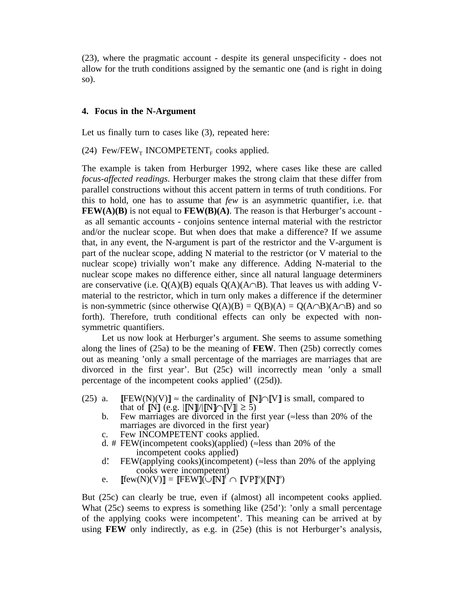(23), where the pragmatic account - despite its general unspecificity - does not allow for the truth conditions assigned by the semantic one (and is right in doing so).

### **4. Focus in the N-Argument**

Let us finally turn to cases like  $(3)$ , repeated here:

(24) Few/FEW<sub>T</sub> INCOMPETENT<sub>F</sub> cooks applied.

The example is taken from Herburger 1992, where cases like these are called *focus-affected readings*. Herburger makes the strong claim that these differ from parallel constructions without this accent pattern in terms of truth conditions. For this to hold, one has to assume that *few* is an asymmetric quantifier, i.e. that **FEW(A)(B)** is not equal to **FEW(B)(A)**. The reason is that Herburger's account as all semantic accounts - conjoins sentence internal material with the restrictor and/or the nuclear scope. But when does that make a difference? If we assume that, in any event, the N-argument is part of the restrictor and the V-argument is part of the nuclear scope, adding N material to the restrictor (or V material to the nuclear scope) trivially won't make any difference. Adding N-material to the nuclear scope makes no difference either, since all natural language determiners are conservative (i.e.  $O(A)(B)$  equals  $O(A)(A \cap B)$ . That leaves us with adding Vmaterial to the restrictor, which in turn only makes a difference if the determiner is non-symmetric (since otherwise  $Q(A)(B) = Q(B)(A) = Q(A \cap B)(A \cap B)$  and so forth). Therefore, truth conditional effects can only be expected with nonsymmetric quantifiers.

Let us now look at Herburger's argument. She seems to assume something along the lines of (25a) to be the meaning of **FEW**. Then (25b) correctly comes out as meaning 'only a small percentage of the marriages are marriages that are divorced in the first year'. But (25c) will incorrectly mean 'only a small percentage of the incompetent cooks applied' ((25d)).

- (25) a. [FEW(N)(V)]  $\approx$  the cardinality of [N]∩[V] is small, compared to that of  $[N]$  (e.g.  $\left|\left[\frac{N}{N}\right]\right| \leq 5$ )
	- b. Few marriages are divorced in the first year (≈less than 20% of the marriages are divorced in the first year)
	- c. Few INCOMPETENT cooks applied.
	- d. # FEW(incompetent cooks)(applied) ( $\approx$ less than 20% of the incompetent cooks applied)
	- d.' FEW(applying cooks)(incompetent) ( $\approx$ less than 20% of the applying cooks were incompetent)
	- e.  $[\text{few}(N)(V)]= [\text{FEW}](\cup [\text{N}]^{\text{f}} \cap [\text{VP}]^{\text{o}})([\text{N}]^{\text{o}})$

But (25c) can clearly be true, even if (almost) all incompetent cooks applied. What (25c) seems to express is something like (25d'): 'only a small percentage of the applying cooks were incompetent'. This meaning can be arrived at by using **FEW** only indirectly, as e.g. in (25e) (this is not Herburger's analysis,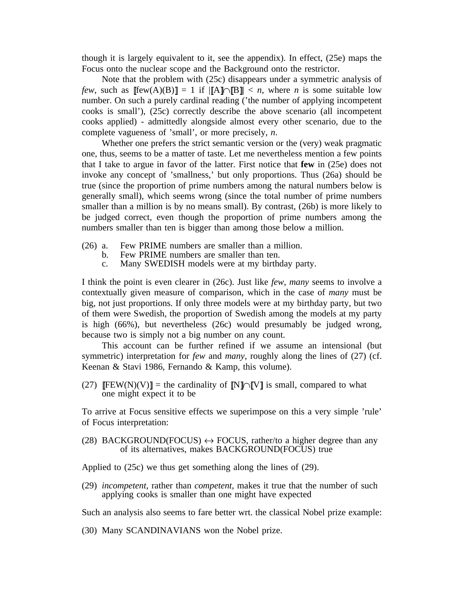though it is largely equivalent to it, see the appendix). In effect, (25e) maps the Focus onto the nuclear scope and the Background onto the restrictor.

Note that the problem with (25c) disappears under a symmetric analysis of *few*, such as  $[[few(A)(B)]] = 1$  if  $[[A] \cap [[B]]] < n$ , where *n* is some suitable low number. On such a purely cardinal reading ('the number of applying incompetent cooks is small'), (25c) correctly describe the above scenario (all incompetent cooks applied) - admittedly alongside almost every other scenario, due to the complete vagueness of 'small', or more precisely, *n*.

Whether one prefers the strict semantic version or the (very) weak pragmatic one, thus, seems to be a matter of taste. Let me nevertheless mention a few points that I take to argue in favor of the latter. First notice that **few** in (25e) does not invoke any concept of 'smallness,' but only proportions. Thus (26a) should be true (since the proportion of prime numbers among the natural numbers below is generally small), which seems wrong (since the total number of prime numbers smaller than a million is by no means small). By contrast, (26b) is more likely to be judged correct, even though the proportion of prime numbers among the numbers smaller than ten is bigger than among those below a million.

- (26) a. Few PRIME numbers are smaller than a million.
	- b. Few PRIME numbers are smaller than ten.
	- c. Many SWEDISH models were at my birthday party.

I think the point is even clearer in (26c). Just like *few*, *many* seems to involve a contextually given measure of comparison, which in the case of *many* must be big, not just proportions. If only three models were at my birthday party, but two of them were Swedish, the proportion of Swedish among the models at my party is high (66%), but nevertheless (26c) would presumably be judged wrong, because two is simply not a big number on any count.

This account can be further refined if we assume an intensional (but symmetric) interpretation for *few* and *many*, roughly along the lines of (27) (cf. Keenan & Stavi 1986, Fernando & Kamp, this volume).

(27)  $[FEW(N)(V)] =$  the cardinality of  $[N]\cap[V]$  is small, compared to what one might expect it to be

To arrive at Focus sensitive effects we superimpose on this a very simple 'rule' of Focus interpretation:

(28) BACKGROUND(FOCUS)  $\leftrightarrow$  FOCUS, rather/to a higher degree than any of its alternatives, makes BACKGROUND(FOCUS) true

Applied to (25c) we thus get something along the lines of (29).

(29) *incompetent*, rather than *competent*, makes it true that the number of such applying cooks is smaller than one might have expected

Such an analysis also seems to fare better wrt. the classical Nobel prize example:

(30) Many SCANDINAVIANS won the Nobel prize.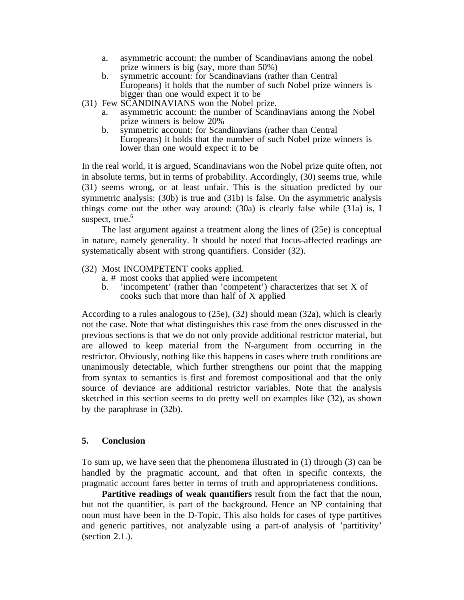- a. asymmetric account: the number of Scandinavians among the nobel prize winners is big (say, more than 50%)
- b. symmetric account: for Scandinavians (rather than Central Europeans) it holds that the number of such Nobel prize winners is bigger than one would expect it to be
- (31) Few SCANDINAVIANS won the Nobel prize.
	- a. asymmetric account: the number of Scandinavians among the Nobel prize winners is below 20%
	- b. symmetric account: for Scandinavians (rather than Central Europeans) it holds that the number of such Nobel prize winners is lower than one would expect it to be

In the real world, it is argued, Scandinavians won the Nobel prize quite often, not in absolute terms, but in terms of probability. Accordingly, (30) seems true, while (31) seems wrong, or at least unfair. This is the situation predicted by our symmetric analysis: (30b) is true and (31b) is false. On the asymmetric analysis things come out the other way around: (30a) is clearly false while (31a) is, I suspect, true. $6$ 

The last argument against a treatment along the lines of (25e) is conceptual in nature, namely generality. It should be noted that focus-affected readings are systematically absent with strong quantifiers. Consider (32).

- (32) Most INCOMPETENT cooks applied.
	- a. # most cooks that applied were incompetent
	- b. 'incompetent' (rather than 'competent') characterizes that set X of cooks such that more than half of X applied

According to a rules analogous to (25e), (32) should mean (32a), which is clearly not the case. Note that what distinguishes this case from the ones discussed in the previous sections is that we do not only provide additional restrictor material, but are allowed to keep material from the N-argument from occurring in the restrictor. Obviously, nothing like this happens in cases where truth conditions are unanimously detectable, which further strengthens our point that the mapping from syntax to semantics is first and foremost compositional and that the only source of deviance are additional restrictor variables. Note that the analysis sketched in this section seems to do pretty well on examples like (32), as shown by the paraphrase in (32b).

## **5. Conclusion**

To sum up, we have seen that the phenomena illustrated in (1) through (3) can be handled by the pragmatic account, and that often in specific contexts, the pragmatic account fares better in terms of truth and appropriateness conditions.

**Partitive readings of weak quantifiers** result from the fact that the noun, but not the quantifier, is part of the background. Hence an NP containing that noun must have been in the D-Topic. This also holds for cases of type partitives and generic partitives, not analyzable using a part-of analysis of 'partitivity' (section 2.1.).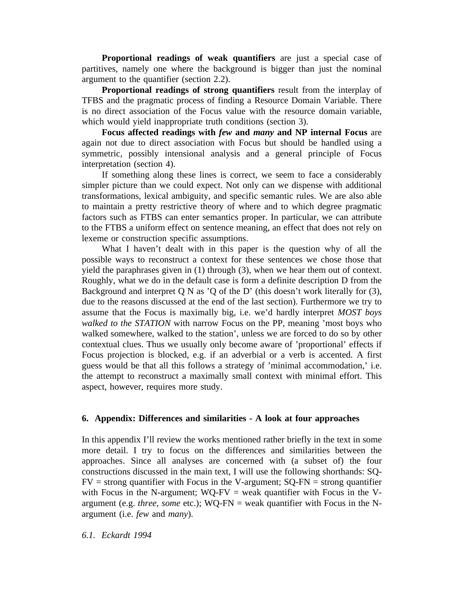**Proportional readings of weak quantifiers** are just a special case of partitives, namely one where the background is bigger than just the nominal argument to the quantifier (section 2.2).

**Proportional readings of strong quantifiers** result from the interplay of TFBS and the pragmatic process of finding a Resource Domain Variable. There is no direct association of the Focus value with the resource domain variable, which would yield inappropriate truth conditions (section 3).

**Focus affected readings with** *few* **and** *many* **and NP internal Focus** are again not due to direct association with Focus but should be handled using a symmetric, possibly intensional analysis and a general principle of Focus interpretation (section 4).

If something along these lines is correct, we seem to face a considerably simpler picture than we could expect. Not only can we dispense with additional transformations, lexical ambiguity, and specific semantic rules. We are also able to maintain a pretty restrictive theory of where and to which degree pragmatic factors such as FTBS can enter semantics proper. In particular, we can attribute to the FTBS a uniform effect on sentence meaning, an effect that does not rely on lexeme or construction specific assumptions.

What I haven't dealt with in this paper is the question why of all the possible ways to reconstruct a context for these sentences we chose those that yield the paraphrases given in (1) through (3), when we hear them out of context. Roughly, what we do in the default case is form a definite description D from the Background and interpret Q N as 'Q of the D' (this doesn't work literally for  $(3)$ , due to the reasons discussed at the end of the last section). Furthermore we try to assume that the Focus is maximally big, i.e. we'd hardly interpret *MOST boys walked to the STATION* with narrow Focus on the PP, meaning 'most boys who walked somewhere, walked to the station', unless we are forced to do so by other contextual clues. Thus we usually only become aware of 'proportional' effects if Focus projection is blocked, e.g. if an adverbial or a verb is accented. A first guess would be that all this follows a strategy of 'minimal accommodation,' i.e. the attempt to reconstruct a maximally small context with minimal effort. This aspect, however, requires more study.

### **6. Appendix: Differences and similarities - A look at four approaches**

In this appendix I'll review the works mentioned rather briefly in the text in some more detail. I try to focus on the differences and similarities between the approaches. Since all analyses are concerned with (a subset of) the four constructions discussed in the main text, I will use the following shorthands: SQ- $FV =$  strong quantifier with Focus in the V-argument;  $SQ-FN =$  strong quantifier with Focus in the N-argument;  $WQ-FV =$  weak quantifier with Focus in the Vargument (e.g. *three, some* etc.); WQ-FN = weak quantifier with Focus in the Nargument (i.e. *few* and *many*).

*6.1. Eckardt 1994*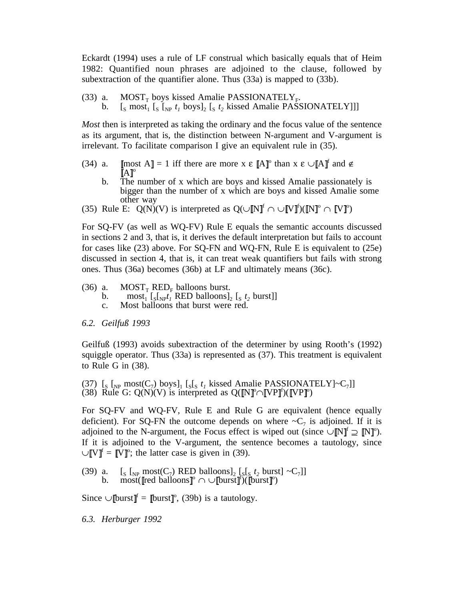Eckardt (1994) uses a rule of LF construal which basically equals that of Heim 1982: Quantified noun phrases are adjoined to the clause, followed by subextraction of the quantifier alone. Thus (33a) is mapped to (33b).

- 
- (33) a. MOST<sub>T</sub> boys kissed Amalie PASSIONATELY<sub>F</sub>.<br>b.  $\left[\int_S \text{most}_1 \left( \int_S \left[ \int_{NP} t_1 \text{ boys} \right]_2 \left[ \int_S t_2 \text{ kised Amalie PASSIONATELY} \right] \right] \right]$

*Most* then is interpreted as taking the ordinary and the focus value of the sentence as its argument, that is, the distinction between N-argument and V-argument is irrelevant. To facilitate comparison I give an equivalent rule in (35).

- (34) a.  $\text{Imost } A \text{ } = 1$  iff there are more  $x \in [A]^\circ$  than  $x \in \text{ } \cup \text{ } A \text{ } \text{ }^{\text{ } \text{ } \text{ } \text{ } \text{ } \text{ } \text{ } a}$  and  $\notin$  $[A]^\circ$ 
	- b. The number of x which are boys and kissed Amalie passionately is bigger than the number of x which are boys and kissed Amalie some other way
- (35) Rule E:  $Q(N)(V)$  is interpreted as  $Q(\cup [N]^f \cap \cup [V]^f)([N]^o \cap [V]^o)$

For SQ-FV (as well as WQ-FV) Rule E equals the semantic accounts discussed in sections 2 and 3, that is, it derives the default interpretation but fails to account for cases like (23) above. For SQ-FN and WQ-FN, Rule E is equivalent to (25e) discussed in section 4, that is, it can treat weak quantifiers but fails with strong ones. Thus (36a) becomes (36b) at LF and ultimately means (36c).

- (36) a.  $MOST_T$  RED<sub>F</sub> balloons burst.<br>b. most, [sl,mt, RED balloons].
	- b. most<sub>1</sub>  $[s]_{NP}t_1$  RED balloons]<sub>2</sub>  $[s t_2$  burst]]<br>c. Most balloons that burst were red.
	- Most balloons that burst were red.
- *6.2. Geilfuß 1993*

Geilfuß (1993) avoids subextraction of the determiner by using Rooth's (1992) squiggle operator. Thus (33a) is represented as (37). This treatment is equivalent to Rule G in (38).

(37)  $\left[\int_S \left[\int_{NP} \text{most}(C_7) \text{ boys}\right]_1 \left[\int_S \left[\int_S t_1 \text{kissed Amalie PASSIONATELY}\right] \sim C_7\right]\right]$ (38) Rule G:  $Q(N)(V)$  is interpreted as  $Q([N]^{\circ} \cap [VP]^{\circ})([VP]^{\circ})$ 

For SQ-FV and WQ-FV, Rule E and Rule G are equivalent (hence equally deficient). For SQ-FN the outcome depends on where  $\sim C_7$  is adjoined. If it is adjoined to the N-argument, the Focus effect is wiped out (since  $\cup$  [N]<sup>o</sup>]. [N]<sup>o</sup>). If it is adjoined to the V-argument, the sentence becomes a tautology, since  $\cup$  [V]<sup> $f$ </sup> = [V]<sup>o</sup>; the latter case is given in (39).

(39) a.  $\left[\int_S \left[\int_{NP} \text{most}(C_7) \text{ RED balloons} \right]_2 \left[\int_S \left[\int_S t_2 \text{ burst} \right] \right] \right] \sim C_7 \right]$ b. most([red balloons]<sup>o</sup> ∩ ∪[[burst]<sup>r</sup>)([burst]<sup>o</sup>)

Since  $\cup$  [[burst]<sup> $f$ </sup> = [[burst]]<sup>o</sup>, (39b) is a tautology.

*6.3. Herburger 1992*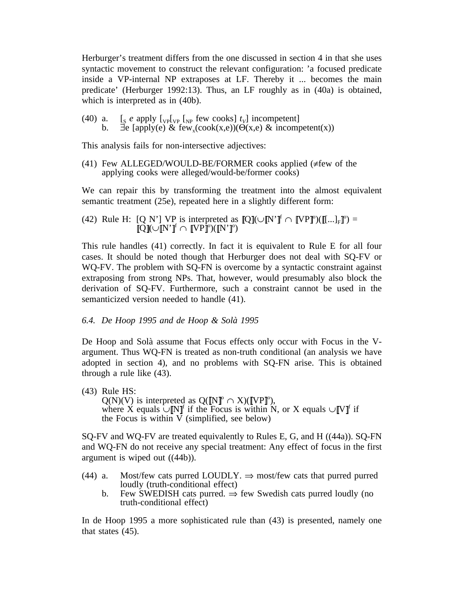Herburger's treatment differs from the one discussed in section 4 in that she uses syntactic movement to construct the relevant configuration: 'a focused predicate inside a VP-internal NP extraposes at LF. Thereby it ... becomes the main predicate' (Herburger 1992:13). Thus, an LF roughly as in (40a) is obtained, which is interpreted as in (40b).

(40) a.  $\left[\frac{\text{S}}{\text{S}} e \text{ apply } \left[\frac{\text{V}}{\text{V}}\right] \left[\frac{\text{V}}{\text{V}}\right] \text{ few cooks}\right] t_{V}$  incompetent] b.  $\exists$ e [apply(e) & few<sub>x</sub>(cook(x,e))( $\Theta$ (x,e) & incompetent(x))

This analysis fails for non-intersective adjectives:

(41) Few ALLEGED/WOULD-BE/FORMER cooks applied ( $\neq$ few of the applying cooks were alleged/would-be/former cooks)

We can repair this by transforming the treatment into the almost equivalent semantic treatment (25e), repeated here in a slightly different form:

(42) Rule H: [Q N'] VP is interpreted as  $\llbracket Q \rrbracket(\cup \llbracket N \rrbracket^f \cap \llbracket VP \rrbracket^o)(\llbracket ... \rrbracket_F \rrbracket^o) =$  $\mathrm{Q}\llbracket \mathcal{O}\llbracket \mathbf{N}'\rrbracket^{\mathrm{f}}\cap\llbracket \mathrm{VP}\rrbracket^{\mathrm{o}})(\llbracket \mathrm{N}'\rrbracket^{\mathrm{o}})$ 

This rule handles (41) correctly. In fact it is equivalent to Rule E for all four cases. It should be noted though that Herburger does not deal with SQ-FV or WQ-FV. The problem with SQ-FN is overcome by a syntactic constraint against extraposing from strong NPs. That, however, would presumably also block the derivation of SQ-FV. Furthermore, such a constraint cannot be used in the semanticized version needed to handle (41).

### *6.4. De Hoop 1995 and de Hoop & Solà 1995*

De Hoop and Solà assume that Focus effects only occur with Focus in the Vargument. Thus WQ-FN is treated as non-truth conditional (an analysis we have adopted in section 4), and no problems with SQ-FN arise. This is obtained through a rule like (43).

(43) Rule HS:  $Q(N)(V)$  is interpreted as  $Q([\![N]\!]^\circ \cap X)([\![VP]\!]^\circ)$ , where X equals ∪  $\mathbb{N}$ <sup> $\mathbb{I}$ </sup> if the Focus is within N, or X equals ∪  $\mathbb{V}$   $\mathbb{I}$  if the Focus is within V (simplified, see below)

SQ-FV and WQ-FV are treated equivalently to Rules E, G, and H ((44a)). SQ-FN and WQ-FN do not receive any special treatment: Any effect of focus in the first argument is wiped out ((44b)).

- (44) a. Most/few cats purred LOUDLY.  $\Rightarrow$  most/few cats that purred purred loudly (truth-conditional effect)
	- b. Few SWEDISH cats purred.  $\Rightarrow$  few Swedish cats purred loudly (no truth-conditional effect)

In de Hoop 1995 a more sophisticated rule than (43) is presented, namely one that states (45).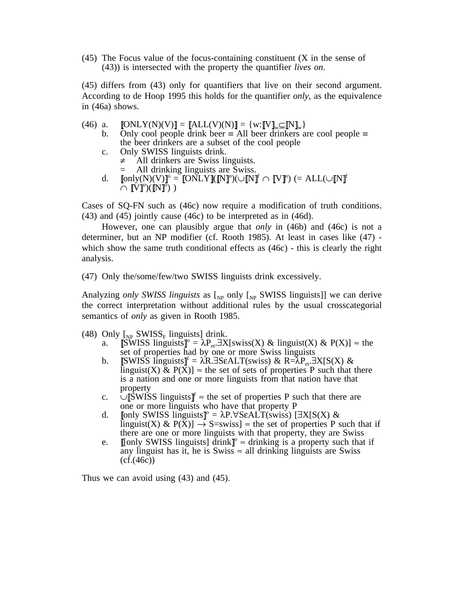(45) The Focus value of the focus-containing constituent (X in the sense of (43)) is intersected with the property the quantifier *lives on*.

(45) differs from (43) only for quantifiers that live on their second argument. According to de Hoop 1995 this holds for the quantifier *only*, as the equivalence in (46a) shows.

- (46) a.  $\text{[ONLY(N)(V)]} = \text{[ALL(V)(N)]} = \{w: \llbracket V \rrbracket_w \subseteq \llbracket N \rrbracket_w\}$ <br>b. Only cool people drink beer  $\equiv$  All beer drinkers a
	- Only cool people drink beer ≡ All beer drinkers are cool people ≡ the beer drinkers are a subset of the cool people
	- c. Only SWISS linguists drink.
		- $\neq$  All drinkers are Swiss linguists.
		- = All drinking linguists are Swiss.
	- $\textnormal{d.}\quad \textnormal{[only(N)(V)]}^{\textnormal{o}} = \textnormal{[ONLY]}(\textnormal{[N]}^{\textnormal{o}})(\cup\textnormal{[N]}^{\textnormal{f}}\cap\textnormal{[V]}^{\textnormal{o}})\ (\textnormal{= ALL}(\cup\textnormal{[N]}^{\textnormal{f}}))$  $\bar{\cap}\ [\mathring{\text{V}}\text{]}^\text{o})(\dot{\mathring{\text{N}}} \text{ }^\text{o}\text{]}^\text{o})$  )

Cases of SQ-FN such as (46c) now require a modification of truth conditions. (43) and (45) jointly cause (46c) to be interpreted as in (46d).

However, one can plausibly argue that *only* in (46b) and (46c) is not a determiner, but an NP modifier (cf. Rooth 1985). At least in cases like (47) which show the same truth conditional effects as  $(46c)$  - this is clearly the right analysis.

(47) Only the/some/few/two SWISS linguists drink excessively.

Analyzing *only SWISS linguists* as  $\begin{bmatrix} N_P \end{bmatrix}$  only  $\begin{bmatrix} N_P \end{bmatrix}$  SWISS linguists]] we can derive the correct interpretation without additional rules by the usual crosscategorial semantics of *only* as given in Rooth 1985.

- (48) Only  $\lceil_{NP}$  SWISS<sub>F</sub> linguists] drink.
	- a.  $\widehat{\mathbb{S}W}$ ISS linguists  $\mathbb{I}^{\circ} = \lambda P_{\text{eff}} \exists X[\text{swiss}(X) \& \text{linguist}(X) \& P(X)] \approx \text{the}$ set of properties had by one or more Swiss linguists
	- b. [SWISS linguists]<sup>f</sup> =  $\lambda$ R.∃SεALT(swiss) & R= $\lambda$ P<sub>et</sub>.∃X[S(X) & linguist(X) & P(X)]  $\approx$  the set of sets of properties P such that there is a nation and one or more linguists from that nation have that property
	- c. ∪ SWISS linguists  $\mathbb{I}^f$  ≈ the set of properties P such that there are one or more linguists who have that property P
	- d. [[only SWISS linguists]<sup>°</sup> =  $\lambda$ P.∀SεALT(swiss) [∃X[S(X) & linguist(X) &  $P(X) \rightarrow S$ =swiss]  $\approx$  the set of properties P such that if there are one or more linguists with that property, they are Swiss
	- e. [only SWISS linguists] drink <sup>o</sup> ≈ drinking is a property such that if any linguist has it, he is Swiss  $\approx$  all drinking linguists are Swiss  $(cf.(46c))$

Thus we can avoid using (43) and (45).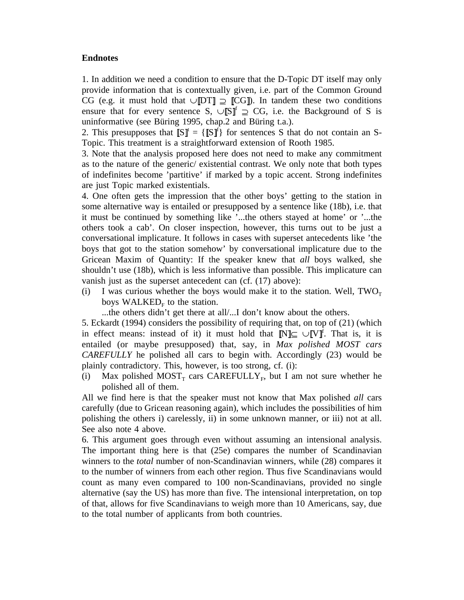## **Endnotes**

1. In addition we need a condition to ensure that the D-Topic DT itself may only provide information that is contextually given, i.e. part of the Common Ground CG (e.g. it must hold that ∪ DT ⊇ CG ). In tandem these two conditions ensure that for every sentence S,  $\cup$  S f  $\sup$   $\supset$  CG, i.e. the Background of S is uninformative (see Büring 1995, chap.2 and Büring t.a.).

2. This presupposes that  $[\![S]\!]^t = \{ [\![S]\!]^t \}$  for sentences S that do not contain an S-Topic. This treatment is a straightforward extension of Rooth 1985.

3. Note that the analysis proposed here does not need to make any commitment as to the nature of the generic/ existential contrast. We only note that both types of indefinites become 'partitive' if marked by a topic accent. Strong indefinites are just Topic marked existentials.

4. One often gets the impression that the other boys' getting to the station in some alternative way is entailed or presupposed by a sentence like (18b), i.e. that it must be continued by something like '...the others stayed at home' or '...the others took a cab'. On closer inspection, however, this turns out to be just a conversational implicature. It follows in cases with superset antecedents like 'the boys that got to the station somehow' by conversational implicature due to the Gricean Maxim of Quantity: If the speaker knew that *all* boys walked, she shouldn't use (18b), which is less informative than possible. This implicature can vanish just as the superset antecedent can (cf. (17) above):

- (i) I was curious whether the boys would make it to the station. Well,  $TWO<sub>T</sub>$ boys WALKED<sub>F</sub> to the station.
	- ...the others didn't get there at all/...I don't know about the others.

5. Eckardt (1994) considers the possibility of requiring that, on top of (21) (which in effect means: instead of it) it must hold that  $\mathbb{N} \subseteq \cup \mathbb{N}$ . That is, it is entailed (or maybe presupposed) that, say, in *Max polished MOST cars CAREFULLY* he polished all cars to begin with. Accordingly (23) would be plainly contradictory. This, however, is too strong, cf. (i):

(i) Max polished MOST<sub>T</sub> cars CAREFULLY<sub>F</sub>, but I am not sure whether he polished all of them.

All we find here is that the speaker must not know that Max polished *all* cars carefully (due to Gricean reasoning again), which includes the possibilities of him polishing the others i) carelessly, ii) in some unknown manner, or iii) not at all. See also note 4 above.

6. This argument goes through even without assuming an intensional analysis. The important thing here is that (25e) compares the number of Scandinavian winners to the *total* number of non-Scandinavian winners, while (28) compares it to the number of winners from each other region. Thus five Scandinavians would count as many even compared to 100 non-Scandinavians, provided no single alternative (say the US) has more than five. The intensional interpretation, on top of that, allows for five Scandinavians to weigh more than 10 Americans, say, due to the total number of applicants from both countries.